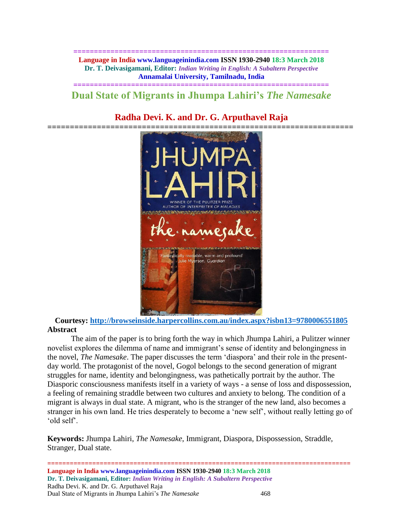**============================================================== Language in India www.languageinindia.com ISSN 1930-2940 18:3 March 2018 Dr. T. Deivasigamani, Editor:** *Indian Writing in English: A Subaltern Perspective* **Annamalai University, Tamilnadu, India**

# **============================================================== Dual State of Migrants in Jhumpa Lahiri's** *The Namesake*

# **Radha Devi. K. and Dr. G. Arputhavel Raja**



**Courtesy:<http://browseinside.harpercollins.com.au/index.aspx?isbn13=9780006551805> Abstract**

The aim of the paper is to bring forth the way in which Jhumpa Lahiri, a Pulitzer winner novelist explores the dilemma of name and immigrant's sense of identity and belongingness in the novel, *The Namesake*. The paper discusses the term 'diaspora' and their role in the presentday world. The protagonist of the novel, Gogol belongs to the second generation of migrant struggles for name, identity and belongingness, was pathetically portrait by the author. The Diasporic consciousness manifests itself in a variety of ways - a sense of loss and dispossession, a feeling of remaining straddle between two cultures and anxiety to belong. The condition of a migrant is always in dual state. A migrant, who is the stranger of the new land, also becomes a stranger in his own land. He tries desperately to become a 'new self', without really letting go of 'old self'.

**Keywords:** Jhumpa Lahiri, *The Namesake*, Immigrant, Diaspora, Dispossession, Straddle, Stranger, Dual state.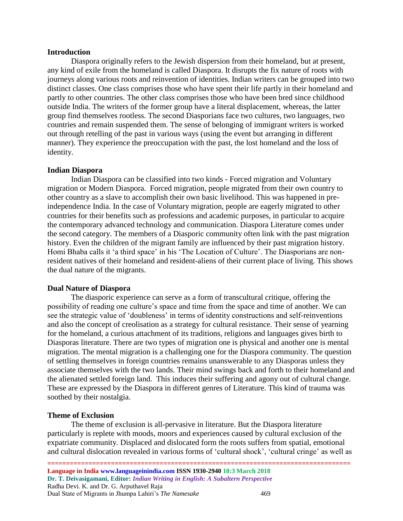#### **Introduction**

Diaspora originally refers to the Jewish dispersion from their homeland, but at present, any kind of exile from the homeland is called Diaspora. It disrupts the fix nature of roots with journeys along various roots and reinvention of identities. Indian writers can be grouped into two distinct classes. One class comprises those who have spent their life partly in their homeland and partly to other countries. The other class comprises those who have been bred since childhood outside India. The writers of the former group have a literal displacement, whereas, the latter group find themselves rootless. The second Diasporians face two cultures, two languages, two countries and remain suspended them. The sense of belonging of immigrant writers is worked out through retelling of the past in various ways (using the event but arranging in different manner). They experience the preoccupation with the past, the lost homeland and the loss of identity.

## **Indian Diaspora**

Indian Diaspora can be classified into two kinds - Forced migration and Voluntary migration or Modern Diaspora. Forced migration, people migrated from their own country to other country as a slave to accomplish their own basic livelihood. This was happened in preindependence India. In the case of Voluntary migration, people are eagerly migrated to other countries for their benefits such as professions and academic purposes, in particular to acquire the contemporary advanced technology and communication. Diaspora Literature comes under the second category. The members of a Diasporic community often link with the past migration history. Even the children of the migrant family are influenced by their past migration history. Homi Bhaba calls it 'a third space' in his 'The Location of Culture'. The Diasporians are nonresident natives of their homeland and resident-aliens of their current place of living. This shows the dual nature of the migrants.

## **Dual Nature of Diaspora**

The diasporic experience can serve as a form of transcultural critique, offering the possibility of reading one culture's space and time from the space and time of another. We can see the strategic value of 'doubleness' in terms of identity constructions and self-reinventions and also the concept of creolisation as a strategy for cultural resistance. Their sense of yearning for the homeland, a curious attachment of its traditions, religions and languages gives birth to Diasporas literature. There are two types of migration one is physical and another one is mental migration. The mental migration is a challenging one for the Diaspora community. The question of settling themselves in foreign countries remains unanswerable to any Diasporas unless they associate themselves with the two lands. Their mind swings back and forth to their homeland and the alienated settled foreign land. This induces their suffering and agony out of cultural change. These are expressed by the Diaspora in different genres of Literature. This kind of trauma was soothed by their nostalgia.

### **Theme of Exclusion**

The theme of exclusion is all-pervasive in literature. But the Diaspora literature particularly is replete with moods, moors and experiences caused by cultural exclusion of the expatriate community. Displaced and dislocated form the roots suffers from spatial, emotional and cultural dislocation revealed in various forms of 'cultural shock', 'cultural cringe' as well as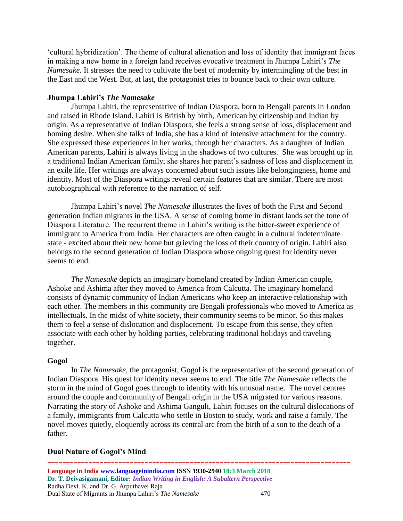'cultural hybridization'. The theme of cultural alienation and loss of identity that immigrant faces in making a new home in a foreign land receives evocative treatment in Jhumpa Lahiri's *The Namesake.* It stresses the need to cultivate the best of modernity by intermingling of the best in the East and the West. But, at last, the protagonist tries to bounce back to their own culture.

#### **Jhumpa Lahiri's** *The Namesake*

Jhumpa Lahiri, the representative of Indian Diaspora, born to Bengali parents in London and raised in Rhode Island. Lahiri is British by birth, American by citizenship and Indian by origin. As a representative of Indian Diaspora, she feels a strong sense of loss, displacement and homing desire. When she talks of India, she has a kind of intensive attachment for the country. She expressed these experiences in her works, through her characters. As a daughter of Indian American parents, Lahiri is always living in the shadows of two cultures. She was brought up in a traditional Indian American family; she shares her parent's sadness of loss and displacement in an exile life. Her writings are always concerned about such issues like belongingness, home and identity. Most of the Diaspora writings reveal certain features that are similar. There are most autobiographical with reference to the narration of self.

Jhumpa Lahiri's novel *The Namesake* illustrates the lives of both the First and Second generation Indian migrants in the USA. A sense of coming home in distant lands set the tone of Diaspora Literature. The recurrent theme in Lahiri's writing is the bitter-sweet experience of immigrant to America from India. Her characters are often caught in a cultural indeterminate state - excited about their new home but grieving the loss of their country of origin. Lahiri also belongs to the second generation of Indian Diaspora whose ongoing quest for identity never seems to end.

*The Namesake* depicts an imaginary homeland created by Indian American couple, Ashoke and Ashima after they moved to America from Calcutta. The imaginary homeland consists of dynamic community of Indian Americans who keep an interactive relationship with each other. The members in this community are Bengali professionals who moved to America as intellectuals. In the midst of white society, their community seems to be minor. So this makes them to feel a sense of dislocation and displacement. To escape from this sense, they often associate with each other by holding parties, celebrating traditional holidays and traveling together.

#### **Gogol**

In *The Namesake,* the protagonist, Gogol is the representative of the second generation of Indian Diaspora. His quest for identity never seems to end. The title *The Namesake* reflects the storm in the mind of Gogol goes through to identity with his unusual name. The novel centres around the couple and community of Bengali origin in the USA migrated for various reasons. Narrating the story of Ashoke and Ashima Ganguli, Lahiri focuses on the cultural dislocations of a family, immigrants from Calcutta who settle in Boston to study, work and raise a family. The novel moves quietly, eloquently across its central arc from the birth of a son to the death of a father.

#### **Dual Nature of Gogol's Mind**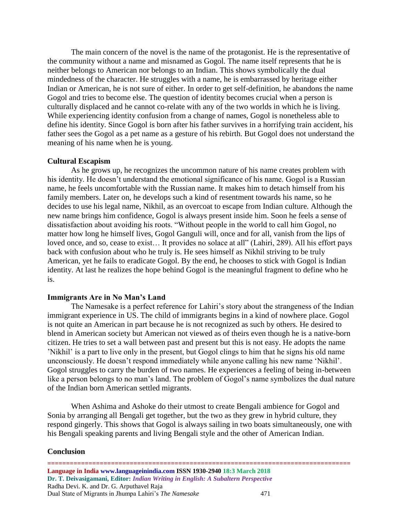The main concern of the novel is the name of the protagonist. He is the representative of the community without a name and misnamed as Gogol. The name itself represents that he is neither belongs to American nor belongs to an Indian. This shows symbolically the dual mindedness of the character. He struggles with a name, he is embarrassed by heritage either Indian or American, he is not sure of either. In order to get self-definition, he abandons the name Gogol and tries to become else. The question of identity becomes crucial when a person is culturally displaced and he cannot co-relate with any of the two worlds in which he is living. While experiencing identity confusion from a change of names, Gogol is nonetheless able to define his identity. Since Gogol is born after his father survives in a horrifying train accident, his father sees the Gogol as a pet name as a gesture of his rebirth. But Gogol does not understand the meaning of his name when he is young.

#### **Cultural Escapism**

As he grows up, he recognizes the uncommon nature of his name creates problem with his identity. He doesn't understand the emotional significance of his name. Gogol is a Russian name, he feels uncomfortable with the Russian name. It makes him to detach himself from his family members. Later on, he develops such a kind of resentment towards his name, so he decides to use his legal name, Nikhil, as an overcoat to escape from Indian culture. Although the new name brings him confidence, Gogol is always present inside him. Soon he feels a sense of dissatisfaction about avoiding his roots. "Without people in the world to call him Gogol, no matter how long he himself lives, Gogol Ganguli will, once and for all, vanish from the lips of loved once, and so, cease to exist… It provides no solace at all" (Lahiri, 289). All his effort pays back with confusion about who he truly is. He sees himself as Nikhil striving to be truly American, yet he fails to eradicate Gogol. By the end, he chooses to stick with Gogol is Indian identity. At last he realizes the hope behind Gogol is the meaningful fragment to define who he is.

#### **Immigrants Are in No Man's Land**

The Namesake is a perfect reference for Lahiri's story about the strangeness of the Indian immigrant experience in US. The child of immigrants begins in a kind of nowhere place. Gogol is not quite an American in part because he is not recognized as such by others. He desired to blend in American society but American not viewed as of theirs even though he is a native-born citizen. He tries to set a wall between past and present but this is not easy. He adopts the name 'Nikhil' is a part to live only in the present, but Gogol clings to him that he signs his old name unconsciously. He doesn't respond immediately while anyone calling his new name 'Nikhil'. Gogol struggles to carry the burden of two names. He experiences a feeling of being in-between like a person belongs to no man's land. The problem of Gogol's name symbolizes the dual nature of the Indian born American settled migrants.

When Ashima and Ashoke do their utmost to create Bengali ambience for Gogol and Sonia by arranging all Bengali get together, but the two as they grew in hybrid culture, they respond gingerly. This shows that Gogol is always sailing in two boats simultaneously, one with his Bengali speaking parents and living Bengali style and the other of American Indian.

#### **Conclusion**